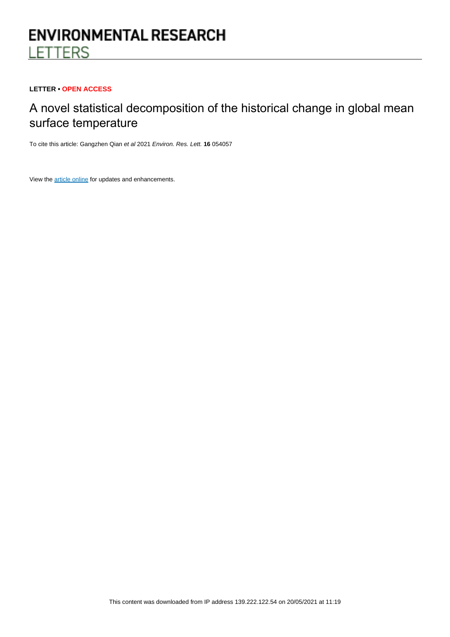# **ENVIRONMENTAL RESEARCH LETTERS**

# **LETTER • OPEN ACCESS**

# A novel statistical decomposition of the historical change in global mean surface temperature

To cite this article: Gangzhen Qian et al 2021 Environ. Res. Lett. **16** 054057

View the [article online](https://doi.org/10.1088/1748-9326/abea34) for updates and enhancements.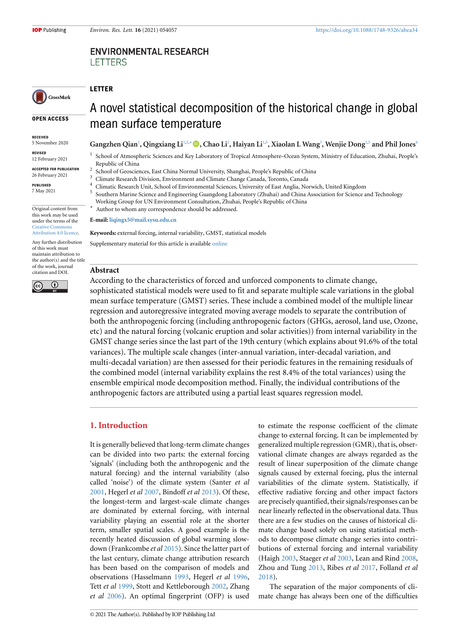# **ENVIRONMENTAL RESEARCH LETTERS**

# **LETTER**

*∗*

CrossMark

#### **OPEN ACCESS**

**RECEIVED** 5 November 2020

**REVISED** 12 February 2021

**ACCEPTED FOR PUBLICATION** 26 February 2021

**PUBLISHED** 7 May 2021

Original content from this work may be used under the terms of the [Creative Commons](https://creativecommons.org/licenses/by/4.0/) [Attribution 4.0 licence](https://creativecommons.org/licenses/by/4.0/).

Any further distribution of this work must maintain attribution to the author(s) and the title of the work, journal citation and DOI.



A novel statistical decomposition of the historical change in global mean surface temperature

#### Gangzhen Qian<sup>[1](#page-1-0)</sup>, Qingxiang Li<sup>1[,5](#page-1-1),[∗](#page-1-2)</sup> ●, Chao Li<sup>[2](#page-1-3)</sup>, Haiyan Li<sup>1,[5](#page-1-1)</sup>, Xiaolan L Wang<sup>[3](#page-1-4)</sup>, Wenjie Dong<sup>1,5</sup> and Phil Jones<sup>[4](#page-1-5)</sup>

<span id="page-1-0"></span><sup>1</sup> School of Atmospheric Sciences and Key Laboratory of Tropical Atmosphere–Ocean System, Ministry of Education, Zhuhai, People's Republic of China

- 2 School of Geosciences, East China Normal University, Shanghai, People's Republic of China
- <span id="page-1-3"></span><sup>3</sup> Climate Research Division, Environment and Climate Change Canada, Toronto, Canada
- <span id="page-1-5"></span><span id="page-1-4"></span><sup>4</sup> Climatic Research Unit, School of Environmental Sciences, University of East Anglia, Norwich, United Kingdom 5
	- Southern Marine Science and Engineering Guangdong Laboratory (Zhuhai) and China Association for Science and Technology
	- Working Group for UN Environment Consultation, Zhuhai, People's Republic of China

<span id="page-1-2"></span><span id="page-1-1"></span>Author to whom any correspondence should be addressed.

**E-mail: [liqingx5@mail.sysu.edu.cn](mailto:liqingx5@mail.sysu.edu.cn)**

**Keywords:** external forcing, internal variability, GMST, statistical models

Supplementary material for this article is available [online](http://doi.org/10.1088/1748-9326/abea34)

#### **Abstract**

According to the characteristics of forced and unforced components to climate change, sophisticated statistical models were used to fit and separate multiple scale variations in the global mean surface temperature (GMST) series. These include a combined model of the multiple linear regression and autoregressive integrated moving average models to separate the contribution of both the anthropogenic forcing (including anthropogenic factors (GHGs, aerosol, land use, Ozone, etc) and the natural forcing (volcanic eruption and solar activities)) from internal variability in the GMST change series since the last part of the 19th century (which explains about 91.6% of the total variances). The multiple scale changes (inter-annual variation, inter-decadal variation, and multi-decadal variation) are then assessed for their periodic features in the remaining residuals of the combined model (internal variability explains the rest 8.4% of the total variances) using the ensemble empirical mode decomposition method. Finally, the individual contributions of the anthropogenic factors are attributed using a partial least squares regression model.

### **1. Introduction**

It is generally believed that long-term climate changes can be divided into two parts: the external forcing 'signals' (including both the anthropogenic and the natural forcing) and the internal variability (also called 'noise') of the climate system (Santer *et al* [2001](#page-10-0), Hegerl *et al* [2007](#page-10-1), Bindoff *et al* [2013\)](#page-9-0). Of these, the longest-term and largest-scale climate changes are dominated by external forcing, with internal variability playing an essential role at the shorter term, smaller spatial scales. A good example is the recently heated discussion of global warming slowdown (Frankcombe *et al* [2015](#page-9-1)). Since the latter part of the last century, climate change attribution research has been based on the comparison of models and observations (Hasselmann [1993,](#page-10-2) Hegerl *et al* [1996,](#page-10-3) Tett *et al* [1999](#page-10-4), Stott and Kettleborough [2002](#page-10-5), Zhang *et al* [2006](#page-11-0)). An optimal fingerprint (OFP) is used to estimate the response coefficient of the climate change to external forcing. It can be implemented by generalized multiple regression (GMR), that is, observational climate changes are always regarded as the result of linear superposition of the climate change signals caused by external forcing, plus the internal variabilities of the climate system. Statistically, if effective radiative forcing and other impact factors are precisely quantified, their signals/responses can be near linearly reflected in the observational data. Thus there are a few studies on the causes of historical climate change based solely on using statistical methods to decompose climate change series into contributions of external forcing and internal variability (Haigh [2003,](#page-9-2) Staeger *et al* [2003,](#page-10-6) Lean and Rind [2008](#page-10-7), Zhou and Tung [2013](#page-11-1), Ribes *et al* [2017,](#page-10-8) Folland *et al* [2018](#page-9-3)).

The separation of the major components of climate change has always been one of the difficulties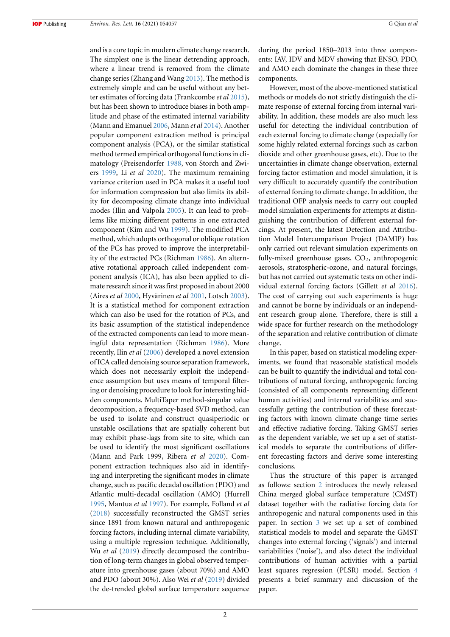and is a core topic in modern climate change research. The simplest one is the linear detrending approach, where a linear trend is removed from the climate change series (Zhang and Wang [2013\)](#page-11-2). The method is extremely simple and can be useful without any better estimates of forcing data (Frankcombe *et al* [2015\)](#page-9-1), but has been shown to introduce biases in both amplitude and phase of the estimated internal variability (Mann and Emanuel [2006,](#page-10-9) Mann *et al* [2014\)](#page-10-10). Another popular component extraction method is principal component analysis (PCA), or the similar statistical method termed empirical orthogonal functions in climatology (Preisendorfer [1988,](#page-10-11) von Storch and Zwiers [1999,](#page-10-12) Li *et al* [2020](#page-10-13)). The maximum remaining variance criterion used in PCA makes it a useful tool for information compression but also limits its ability for decomposing climate change into individual modes (Ilin and Valpola [2005](#page-10-14)). It can lead to problems like mixing different patterns in one extracted component (Kim and Wu [1999](#page-10-15)). The modified PCA method, which adopts orthogonal or oblique rotation of the PCs has proved to improve the interpretability of the extracted PCs (Richman [1986](#page-10-16)). An alternative rotational approach called independent component analysis (ICA), has also been applied to climate research since it was first proposed in about 2000 (Aires *et al* [2000,](#page-9-4) Hyvärinen *et al* [2001](#page-10-17), Lotsch [2003\)](#page-10-18). It is a statistical method for component extraction which can also be used for the rotation of PCs, and its basic assumption of the statistical independence of the extracted components can lead to more meaningful data representation (Richman [1986](#page-10-16)). More recently, Ilin *et al* [\(2006](#page-10-19)) developed a novel extension of ICA called denoising source separation framework, which does not necessarily exploit the independence assumption but uses means of temporal filtering or denoising procedure to look for interesting hidden components. MultiTaper method-singular value decomposition, a frequency-based SVD method, can be used to isolate and construct quasiperiodic or unstable oscillations that are spatially coherent but may exhibit phase-lags from site to site, which can be used to identify the most significant oscillations (Mann and Park 1999, Ribera *et al* [2020](#page-10-20)). Component extraction techniques also aid in identifying and interpreting the significant modes in climate change, such as pacific decadal oscillation (PDO) and Atlantic multi-decadal oscillation (AMO) (Hurrell [1995](#page-10-21), Mantua *et al* [1997](#page-10-22)). For example, Folland *et al* ([2018\)](#page-9-3) successfully reconstructed the GMST series since 1891 from known natural and anthropogenic forcing factors, including internal climate variability, using a multiple regression technique. Additionally, Wu *et al* ([2019\)](#page-10-23) directly decomposed the contribution of long-term changes in global observed temperature into greenhouse gases (about 70%) and AMO and PDO (about 30%). Also Wei *et al* ([2019\)](#page-10-24) divided the de-trended global surface temperature sequence during the period 1850–2013 into three components: IAV, IDV and MDV showing that ENSO, PDO, and AMO each dominate the changes in these three components.

However, most of the above-mentioned statistical methods or models do not strictly distinguish the climate response of external forcing from internal variability. In addition, these models are also much less useful for detecting the individual contribution of each external forcing to climate change (especially for some highly related external forcings such as carbon dioxide and other greenhouse gases, etc). Due to the uncertainties in climate change observation, external forcing factor estimation and model simulation, it is very difficult to accurately quantify the contribution of external forcing to climate change. In addition, the traditional OFP analysis needs to carry out coupled model simulation experiments for attempts at distinguishing the contribution of different external forcings. At present, the latest Detection and Attribution Model Intercomparison Project (DAMIP) has only carried out relevant simulation experiments on fully-mixed greenhouse gases,  $CO<sub>2</sub>$ , anthropogenic aerosols, stratospheric-ozone, and natural forcings, but has not carried out systematic tests on other individual external forcing factors (Gillett *et al* [2016\)](#page-9-5). The cost of carrying out such experiments is huge and cannot be borne by individuals or an independent research group alone. Therefore, there is still a wide space for further research on the methodology of the separation and relative contribution of climate change.

In this paper, based on statistical modeling experiments, we found that reasonable statistical models can be built to quantify the individual and total contributions of natural forcing, anthropogenic forcing (consisted of all components representing different human activities) and internal variabilities and successfully getting the contribution of these forecasting factors with known climate change time series and effective radiative forcing. Taking GMST series as the dependent variable, we set up a set of statistical models to separate the contributions of different forecasting factors and derive some interesting conclusions.

<span id="page-2-0"></span>Thus the structure of this paper is arranged as follows: section [2](#page-2-0) introduces the newly released China merged global surface temperature (CMST) dataset together with the radiative forcing data for anthropogenic and natural components used in this paper. In section [3](#page-4-0) we set up a set of combined statistical models to model and separate the GMST changes into external forcing ('signals') and internal variabilities ('noise'), and also detect the individual contributions of human activities with a partial least squares regression (PLSR) model. Section [4](#page-7-0) presents a brief summary and discussion of the paper.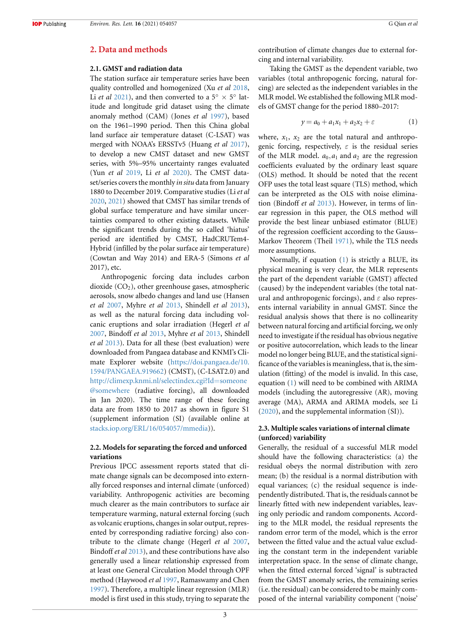#### **2. Data and methods**

#### **2.1. GMST and radiation data**

The station surface air temperature series have been quality controlled and homogenized (Xu *et al* [2018,](#page-11-3) Li *et al* [2021](#page-10-25)), and then converted to a  $5^\circ \times 5^\circ$  latitude and longitude grid dataset using the climate anomaly method (CAM) (Jones *et al* [1997](#page-10-26)), based on the 1961–1990 period. Then this China global land surface air temperature dataset (C-LSAT) was merged with NOAA's ERSSTv5 (Huang *et al* [2017\)](#page-10-27), to develop a new CMST dataset and new GMST series, with 5%–95% uncertainty ranges evaluated (Yun *et al* [2019,](#page-11-4) Li *et al* [2020\)](#page-10-13). The CMST dataset/series covers the monthly *in situ* data from January 1880 to December 2019. Comparative studies (Li *et al* [2020](#page-10-13), [2021](#page-10-25)) showed that CMST has similar trends of global surface temperature and have similar uncertainties compared to other existing datasets. While the significant trends during the so called 'hiatus' period are identified by CMST, HadCRUTem4- Hybrid (infilled by the polar surface air temperature) (Cowtan and Way 2014) and ERA-5 (Simons *et al* 2017), etc.

Anthropogenic forcing data includes carbon dioxide  $(CO<sub>2</sub>)$ , other greenhouse gases, atmospheric aerosols, snow albedo changes and land use (Hansen *et al* [2007,](#page-9-6) Myhre *et al* [2013,](#page-10-28) Shindell *et al* [2013\)](#page-10-29), as well as the natural forcing data including volcanic eruptions and solar irradiation (Hegerl *et al* [2007](#page-10-1), Bindoff *et al* [2013,](#page-9-0) Myhre *et al* [2013,](#page-10-28) Shindell *et al* [2013](#page-10-29)). Data for all these (best evaluation) were downloaded from Pangaea database and KNMI's Climate Explorer website([https://doi.pangaea.de/10.](https://doi.pangaea.de/10.1594/PANGAEA.919662) [1594/PANGAEA.919662\)](https://doi.pangaea.de/10.1594/PANGAEA.919662) (CMST), (C-LSAT2.0) and [http://climexp.knmi.nl/selectindex.cgi?Id](http://climexp.knmi.nl/selectindex.cgi?Id=someone@somewhere)=someone [@somewhere](http://climexp.knmi.nl/selectindex.cgi?Id=someone@somewhere) (radiative forcing), all downloaded in Jan 2020). The time range of these forcing data are from 1850 to 2017 as shown in figure S1 (supplement information (SI) (available online at [stacks.iop.org/ERL/16/054057/mmedia\)](https://stacks.iop.org/ERL/16/054057/mmedia)).

#### **2.2. Models for separating the forced and unforced variations**

Previous IPCC assessment reports stated that climate change signals can be decomposed into externally forced responses and internal climate (unforced) variability. Anthropogenic activities are becoming much clearer as the main contributors to surface air temperature warming, natural external forcing (such as volcanic eruptions, changes in solar output, represented by corresponding radiative forcing) also contribute to the climate change (Hegerl *et al* [2007,](#page-10-1) Bindoff *et al* [2013](#page-9-0)), and these contributions have also generally used a linear relationship expressed from at least one General Circulation Model through OPF method (Haywood *et al* [1997](#page-10-30), Ramaswamy and Chen [1997](#page-10-31)). Therefore, a multiple linear regression (MLR) model is first used in this study, trying to separate the contribution of climate changes due to external forcing and internal variability.

Taking the GMST as the dependent variable, two variables (total anthropogenic forcing, natural forcing) are selected as the independent variables in the MLR model. We established the following MLR models of GMST change for the period 1880–2017:

<span id="page-3-0"></span>
$$
y = a_0 + a_1 x_1 + a_2 x_2 + \varepsilon \tag{1}
$$

where,  $x_1$ ,  $x_2$  are the total natural and anthropogenic forcing, respectively, *ε* is the residual series of the MLR model.  $a_0$ ,  $a_1$  and  $a_2$  are the regression coefficients evaluated by the ordinary least square (OLS) method. It should be noted that the recent OFP uses the total least square (TLS) method, which can be interpreted as the OLS with noise elimination (Bindoff *et al* [2013](#page-9-0)). However, in terms of linear regression in this paper, the OLS method will provide the best linear unbiased estimator (BLUE) of the regression coefficient according to the Gauss– Markov Theorem (Theil [1971](#page-10-32)), while the TLS needs more assumptions.

Normally, if equation([1](#page-3-0)) is strictly a BLUE, its physical meaning is very clear, the MLR represents the part of the dependent variable (GMST) affected (caused) by the independent variables (the total natural and anthropogenic forcings), and *ε* also represents internal variability in annual GMST. Since the residual analysis shows that there is no collinearity between natural forcing and artificial forcing, we only need to investigate if the residual has obvious negative or positive autocorrelation, which leads to the linear model no longer being BLUE, and the statistical significance of the variables is meaningless, that is, the simulation (fitting) of the model is invalid. In this case, equation([1\)](#page-3-0) will need to be combined with ARIMA models (including the autoregressive (AR), moving average (MA), ARMA and ARIMA models, see Li ([2020\)](#page-10-33), and the supplemental information (SI)).

#### <span id="page-3-1"></span>**2.3. Multiple scales variations of internal climate (unforced) variability**

Generally, the residual of a successful MLR model should have the following characteristics: (a) the residual obeys the normal distribution with zero mean; (b) the residual is a normal distribution with equal variances; (c) the residual sequence is independently distributed. That is, the residuals cannot be linearly fitted with new independent variables, leaving only periodic and random components. According to the MLR model, the residual represents the random error term of the model, which is the error between the fitted value and the actual value excluding the constant term in the independent variable interpretation space. In the sense of climate change, when the fitted external forced 'signal' is subtracted from the GMST anomaly series, the remaining series (i.e. the residual) can be considered to be mainly composed of the internal variability component ('noise'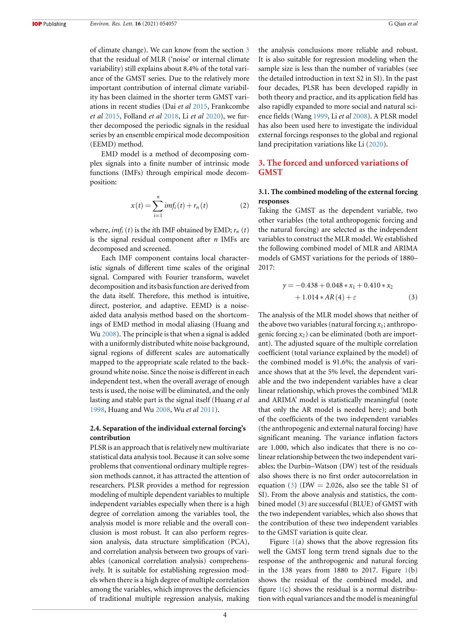of climate change). We can know from the section [3](#page-4-0) that the residual of MLR ('noise' or internal climate variability) still explains about 8.4% of the total variance of the GMST series. Due to the relatively more important contribution of internal climate variability has been claimed in the shorter term GMST variations in recent studies (Dai *et al* [2015](#page-9-7), Frankcombe *et al* [2015](#page-9-1), Folland *et al* [2018](#page-9-3), Li *et al* [2020\)](#page-10-13), we further decomposed the periodic signals in the residual series by an ensemble empirical mode decomposition (EEMD) method.

EMD model is a method of decomposing complex signals into a finite number of intrinsic mode functions (IMFs) through empirical mode decomposition:

$$
x(t) = \sum_{i=1}^{n} imf_i(t) + r_n(t)
$$
 (2)

where,  $imf_i(t)$  is the *i*th IMF obtained by EMD;  $r_n(t)$ is the signal residual component after *n* IMFs are decomposed and screened.

Each IMF component contains local characteristic signals of different time scales of the original signal. Compared with Fourier transform, wavelet decomposition and its basis function are derived from the data itself. Therefore, this method is intuitive, direct, posterior, and adaptive. EEMD is a noiseaided data analysis method based on the shortcomings of EMD method in modal aliasing (Huang and Wu [2008](#page-10-34)). The principle is that when a signal is added with a uniformly distributed white noise background, signal regions of different scales are automatically mapped to the appropriate scale related to the background white noise. Since the noise is different in each independent test, when the overall average of enough tests is used, the noise will be eliminated, and the only lasting and stable part is the signal itself (Huang *et al* [1998](#page-10-35), Huang and Wu [2008](#page-10-34), Wu *et al* [2011](#page-11-5)).

#### **2.4. Separation of the individual external forcing's contribution**

PLSR is an approach that is relatively new multivariate statistical data analysis tool. Because it can solve some problems that conventional ordinary multiple regression methods cannot, it has attracted the attention of researchers. PLSR provides a method for regression modeling of multiple dependent variables to multiple independent variables especially when there is a high degree of correlation among the variables tool, the analysis model is more reliable and the overall conclusion is most robust. It can also perform regression analysis, data structure simplification (PCA), and correlation analysis between two groups of variables (canonical correlation analysis) comprehensively. It is suitable for establishing regression models when there is a high degree of multiple correlation among the variables, which improves the deficiencies of traditional multiple regression analysis, making the analysis conclusions more reliable and robust. It is also suitable for regression modeling when the sample size is less than the number of variables (see the detailed introduction in text S2 in SI). In the past four decades, PLSR has been developed rapidly in both theory and practice, and its application field has also rapidly expanded to more social and natural science fields (Wang [1999,](#page-10-36) Li *et al* [2008](#page-10-37)). A PLSR model has also been used here to investigate the individual external forcings responses to the global and regional land precipitation variations like Li [\(2020](#page-10-33)).

### <span id="page-4-0"></span>**3. The forced and unforced variations of GMST**

#### **3.1. The combined modeling of the external forcing responses**

Taking the GMST as the dependent variable, two other variables (the total anthropogenic forcing and the natural forcing) are selected as the independent variables to construct the MLR model. We established the following combined model of MLR and ARIMA models of GMST variations for the periods of 1880– 2017:

<span id="page-4-1"></span>
$$
y = -0.438 + 0.048 * x_1 + 0.410 * x_2
$$
  
+ 1.014 \* AR(4) +  $\varepsilon$  (3)

The analysis of the MLR model shows that neither of the above two variables (natural forcing  $x_1$ ; anthropogenic forcing *x*2) can be eliminated (both are important). The adjusted square of the multiple correlation coefficient (total variance explained by the model) of the combined model is 91.6%; the analysis of variance shows that at the 5% level, the dependent variable and the two independent variables have a clear linear relationship, which proves the combined 'MLR and ARIMA' model is statistically meaningful (note that only the AR model is needed here); and both of the coefficients of the two independent variables (the anthropogenic and external natural forcing) have significant meaning. The variance inflation factors are 1.000, which also indicates that there is no colinear relationship between the two independent variables; the Durbin–Watson (DW) test of the residuals also shows there is no first order autocorrelation in equation [\(3](#page-4-1)) (DW = 2.026, also see the table S1 of SI). From the above analysis and statistics, the combined model (3) are successful (BLUE) of GMST with the two independent variables, which also shows that the contribution of these two independent variables to the GMST variation is quite clear.

Figure  $1(a)$  $1(a)$  shows that the above regression fits well the GMST long term trend signals due to the response of the anthropogenic and natural forcing in the [1](#page-5-0)38 years from 1880 to 2017. Figure  $1(b)$ shows the residual of the combined model, and figure  $1(c)$  $1(c)$  shows the residual is a normal distribution with equal variances and the model is meaningful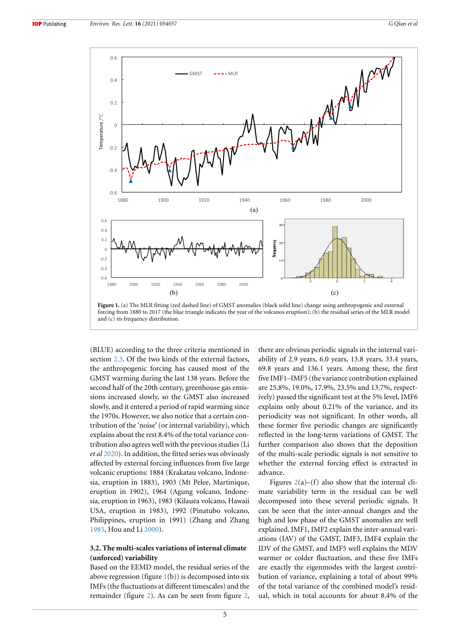<span id="page-5-0"></span>

(BLUE) according to the three criteria mentioned in section [2.3](#page-3-1). Of the two kinds of the external factors, the anthropogenic forcing has caused most of the GMST warming during the last 138 years. Before the second half of the 20th century, greenhouse gas emissions increased slowly, so the GMST also increased slowly, and it entered a period of rapid warming since the 1970s. However, we also notice that a certain contribution of the 'noise' (or internal variability), which explains about the rest 8.4% of the total variance contribution also agrees well with the previous studies (Li *et al* [2020](#page-10-13)). In addition, the fitted series was obviously affected by external forcing influences from five large volcanic eruptions: 1884 (Krakatau volcano, Indonesia, eruption in 1883), 1903 (Mt Pelee, Martinique, eruption in 1902), 1964 (Agung volcano, Indonesia, eruption in 1963), 1983 (Kilauea volcano, Hawaii USA, eruption in 1983), 1992 (Pinatubo volcano, Philippines, eruption in 1991) (Zhang and Zhang [1985](#page-11-6), Hou and Li [2000](#page-10-38)).

#### **3.2. The multi-scales variations of internal climate (unforced) variability**

Based on the EEMD model, the residual series of the above regression (figure  $1(b)$  $1(b)$ ) is decomposed into six IMFs (the fluctuations at different timescales) and the remainder (figure [2](#page-6-0)). As can be seen from figure [2,](#page-6-0)

there are obvious periodic signals in the internal variability of 2.9 years, 6.0 years, 13.8 years, 33.4 years, 69.8 years and 136.1 years. Among these, the first five IMF1–IMF5 (the variance contribution explained are 25.8%, 19.0%, 17.9%, 23.5% and 13.7%, respectively) passed the significant test at the 5% level, IMF6 explains only about 0.21% of the variance, and its periodicity was not significant. In other words, all these former five periodic changes are significantly reflected in the long-term variations of GMST. The further comparison also shows that the deposition of the multi-scale periodic signals is not sensitive to whether the external forcing effect is extracted in advance.

Figures  $2(a)$  $2(a)$ –(f) also show that the internal climate variability term in the residual can be well decomposed into these several periodic signals. It can be seen that the inter-annual changes and the high and low phase of the GMST anomalies are well explained. IMF1, IMF2 explain the inter-annual variations (IAV) of the GMST, IMF3, IMF4 explain the IDV of the GMST, and IMF5 well explains the MDV warmer or colder fluctuation, and these five IMFs are exactly the eigenmodes with the largest contribution of variance, explaining a total of about 99% of the total variance of the combined model's residual, which in total accounts for about 8.4% of the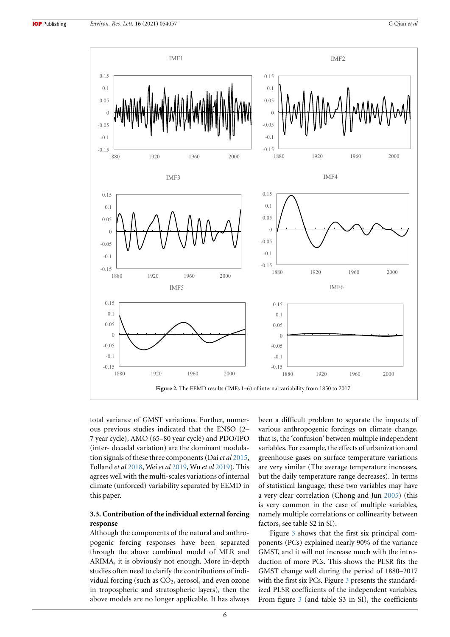<span id="page-6-0"></span>

total variance of GMST variations. Further, numerous previous studies indicated that the ENSO (2– 7 year cycle), AMO (65–80 year cycle) and PDO/IPO (inter- decadal variation) are the dominant modulation signals of these three components (Dai*et al* [2015,](#page-9-7) Folland *et al* [2018](#page-9-3), Wei*et al* [2019](#page-10-24), Wu *et al* [2019](#page-10-23)). This agrees well with the multi-scales variations of internal climate (unforced) variability separated by EEMD in this paper.

### **3.3. Contribution of the individual external forcing response**

Although the components of the natural and anthropogenic forcing responses have been separated through the above combined model of MLR and ARIMA, it is obviously not enough. More in-depth studies often need to clarify the contributions of individual forcing (such as  $CO<sub>2</sub>$ , aerosol, and even ozone in tropospheric and stratospheric layers), then the above models are no longer applicable. It has always been a difficult problem to separate the impacts of various anthropogenic forcings on climate change, that is, the 'confusion' between multiple independent variables. For example, the effects of urbanization and greenhouse gases on surface temperature variations are very similar (The average temperature increases, but the daily temperature range decreases). In terms of statistical language, these two variables may have a very clear correlation (Chong and Jun [2005\)](#page-9-8) (this is very common in the case of multiple variables, namely multiple correlations or collinearity between factors, see table S2 in SI).

Figure [3](#page-7-1) shows that the first six principal components (PCs) explained nearly 90% of the variance GMST, and it will not increase much with the introduction of more PCs. This shows the PLSR fits the GMST change well during the period of 1880–2017 with the first six PCs. Figure [3](#page-7-1) presents the standardized PLSR coefficients of the independent variables. From figure [3](#page-7-1) (and table S3 in SI), the coefficients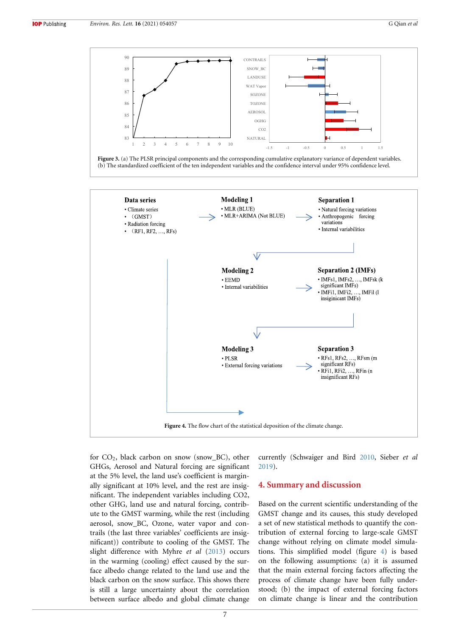<span id="page-7-2"></span><span id="page-7-1"></span>

**Figure 4.** The flow chart of the statistical deposition of the climate change.

for CO<sub>2</sub>, black carbon on snow (snow\_BC), other GHGs, Aerosol and Natural forcing are significant at the 5% level, the land use's coefficient is marginally significant at 10% level, and the rest are insignificant. The independent variables including CO2, other GHG, land use and natural forcing, contribute to the GMST warming, while the rest (including aerosol, snow\_BC, Ozone, water vapor and contrails (the last three variables' coefficients are insignificant)) contribute to cooling of the GMST. The slight difference with Myhre *et al* [\(2013\)](#page-10-28) occurs in the warming (cooling) effect caused by the surface albedo change related to the land use and the black carbon on the snow surface. This shows there is still a large uncertainty about the correlation between surface albedo and global climate change

currently (Schwaiger and Bird [2010](#page-10-39), Sieber *et al* [2019](#page-10-40)).

## <span id="page-7-0"></span>**4. Summary and discussion**

Based on the current scientific understanding of the GMST change and its causes, this study developed a set of new statistical methods to quantify the contribution of external forcing to large-scale GMST change without relying on climate model simulations. This simplified model (figure [4\)](#page-7-2) is based on the following assumptions: (a) it is assumed that the main external forcing factors affecting the process of climate change have been fully understood; (b) the impact of external forcing factors on climate change is linear and the contribution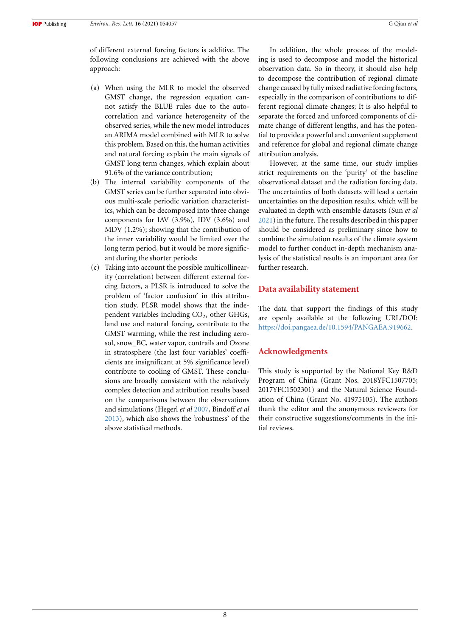of different external forcing factors is additive. The following conclusions are achieved with the above approach:

- (a) When using the MLR to model the observed GMST change, the regression equation cannot satisfy the BLUE rules due to the autocorrelation and variance heterogeneity of the observed series, while the new model introduces an ARIMA model combined with MLR to solve this problem. Based on this, the human activities and natural forcing explain the main signals of GMST long term changes, which explain about 91.6% of the variance contribution;
- (b) The internal variability components of the GMST series can be further separated into obvious multi-scale periodic variation characteristics, which can be decomposed into three change components for IAV (3.9%), IDV (3.6%) and MDV (1.2%); showing that the contribution of the inner variability would be limited over the long term period, but it would be more significant during the shorter periods;
- (c) Taking into account the possible multicollinearity (correlation) between different external forcing factors, a PLSR is introduced to solve the problem of 'factor confusion' in this attribution study. PLSR model shows that the independent variables including CO<sub>2</sub>, other GHGs, land use and natural forcing, contribute to the GMST warming, while the rest including aerosol, snow\_BC, water vapor, contrails and Ozone in stratosphere (the last four variables' coefficients are insignificant at 5% significance level) contribute to cooling of GMST. These conclusions are broadly consistent with the relatively complex detection and attribution results based on the comparisons between the observations and simulations (Hegerl *et al* [2007](#page-10-1), Bindoff *et al* [2013\)](#page-9-0), which also shows the 'robustness' of the above statistical methods.

In addition, the whole process of the modeling is used to decompose and model the historical observation data. So in theory, it should also help to decompose the contribution of regional climate change caused by fully mixed radiative forcing factors, especially in the comparison of contributions to different regional climate changes; It is also helpful to separate the forced and unforced components of climate change of different lengths, and has the potential to provide a powerful and convenient supplement and reference for global and regional climate change attribution analysis.

However, at the same time, our study implies strict requirements on the 'purity' of the baseline observational dataset and the radiation forcing data. The uncertainties of both datasets will lead a certain uncertainties on the deposition results, which will be evaluated in depth with ensemble datasets (Sun *et al* [2021](#page-10-41)) in the future. The results described in this paper should be considered as preliminary since how to combine the simulation results of the climate system model to further conduct in-depth mechanism analysis of the statistical results is an important area for further research.

#### **Data availability statement**

The data that support the findings of this study are openly available at the following URL/DOI: [https://doi.pangaea.de/10.1594/PANGAEA.919662.](https://doi.pangaea.de/10.1594/PANGAEA.919662)

#### **Acknowledgments**

This study is supported by the National Key R&D Program of China (Grant Nos. 2018YFC1507705; 2017YFC1502301) and the Natural Science Foundation of China (Grant No. 41975105). The authors thank the editor and the anonymous reviewers for their constructive suggestions/comments in the initial reviews.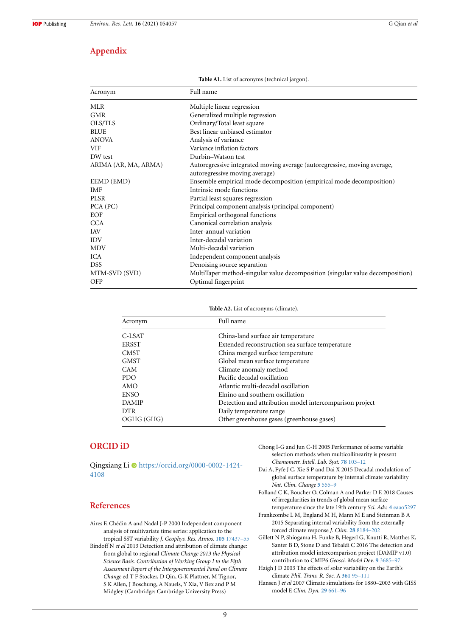## **Appendix**

| Acronym              | Full name                                                                                                   |
|----------------------|-------------------------------------------------------------------------------------------------------------|
| <b>MLR</b>           | Multiple linear regression                                                                                  |
| <b>GMR</b>           | Generalized multiple regression                                                                             |
| OLS/TLS              | Ordinary/Total least square                                                                                 |
| <b>BLUE</b>          | Best linear unbiased estimator                                                                              |
| <b>ANOVA</b>         | Analysis of variance                                                                                        |
| <b>VIF</b>           | Variance inflation factors                                                                                  |
| DW test              | Durbin-Watson test                                                                                          |
| ARIMA (AR, MA, ARMA) | Autoregressive integrated moving average (autoregressive, moving average,<br>autoregressive moving average) |
| EEMD (EMD)           | Ensemble empirical mode decomposition (empirical mode decomposition)                                        |
| IMF                  | Intrinsic mode functions                                                                                    |
| <b>PLSR</b>          | Partial least squares regression                                                                            |
| PCA (PC)             | Principal component analysis (principal component)                                                          |
| EOF                  | Empirical orthogonal functions                                                                              |
| <b>CCA</b>           | Canonical correlation analysis                                                                              |
| <b>IAV</b>           | Inter-annual variation                                                                                      |
| <b>IDV</b>           | Inter-decadal variation                                                                                     |
| <b>MDV</b>           | Multi-decadal variation                                                                                     |
| ICA                  | Independent component analysis                                                                              |
| <b>DSS</b>           | Denoising source separation                                                                                 |
| MTM-SVD (SVD)        | MultiTaper method-singular value decomposition (singular value decomposition)                               |
| <b>OFP</b>           | Optimal fingerprint                                                                                         |

**Table A1.** List of acronyms (technical jargon).

**Table A2.** List of acronyms (climate).

| Acronym      | Full name                                               |
|--------------|---------------------------------------------------------|
| C-LSAT       | China-land surface air temperature                      |
| <b>ERSST</b> | Extended reconstruction sea surface temperature         |
| <b>CMST</b>  | China merged surface temperature                        |
| <b>GMST</b>  | Global mean surface temperature                         |
| <b>CAM</b>   | Climate anomaly method                                  |
| PDO.         | Pacific decadal oscillation                             |
| AMO          | Atlantic multi-decadal oscillation                      |
| <b>ENSO</b>  | Elnino and southern oscillation                         |
| <b>DAMIP</b> | Detection and attribution model intercomparison project |
| <b>DTR</b>   | Daily temperature range                                 |
| OGHG (GHG)   | Other greenhouse gases (greenhouse gases)               |

#### **ORCID iD**

Qingxiang Li · [https://orcid.org/0000-0002-1424-](https://orcid.org/0000-0002-1424-4108) [4108](https://orcid.org/0000-0002-1424-4108)

# **References**

- <span id="page-9-4"></span><span id="page-9-0"></span>Aires F, Chédin A and Nadal J-P 2000 Independent component analysis of multivariate time series: application to the tropical SST variability *J. Geophys. Res. Atmos.* **[105](https://doi.org/10.1029/2000JD900152)** [17437–55](https://doi.org/10.1029/2000JD900152) Bindoff N *et al* 2013 Detection and attribution of climate change: from global to regional *Climate Change 2013 the Physical Science Basis. Contribution of Working Group I to the Fifth Assessment Report of the Intergovernmental Panel on Climate Change* ed T F Stocker, D Qin, G-K Plattner, M Tignor, S K Allen, J Boschung, A Nauels, Y Xia, V Bex and P M Midgley (Cambridge: Cambridge University Press)
- <span id="page-9-8"></span>Chong I-G and Jun C-H 2005 Performance of some variable selection methods when multicollinearity is present *Chemometr. Intell. Lab. Syst.* **[78](https://doi.org/10.1016/j.chemolab.2004.12.011)** [103–12](https://doi.org/10.1016/j.chemolab.2004.12.011)
- <span id="page-9-7"></span>Dai A, Fyfe J C, Xie S P and Dai X 2015 Decadal modulation of global surface temperature by internal climate variability *Nat. Clim. Change* **[5](https://doi.org/10.1038/nclimate2605)** [555–9](https://doi.org/10.1038/nclimate2605)
- <span id="page-9-3"></span>Folland C K, Boucher O, Colman A and Parker D E 2018 Causes of irregularities in trends of global mean surface temperature since the late 19th century *Sci. Adv.* **[4](https://doi.org/10.1126/sciadv.aao5297)** [eaao5297](https://doi.org/10.1126/sciadv.aao5297)
- <span id="page-9-1"></span>Frankcombe L M, England M H, Mann M E and Steinman B A 2015 Separating internal variability from the externally forced climate response *J. Clim.* **[28](https://doi.org/10.1175/JCLI-D-15-0069.1)** [8184–202](https://doi.org/10.1175/JCLI-D-15-0069.1)
- <span id="page-9-5"></span>Gillett N P, Shiogama H, Funke B, Hegerl G, Knutti R, Matthes K, Santer B D, Stone D and Tebaldi C 2016 The detection and attribution model intercomparison project (DAMIP v1.0) contribution to CMIP6 *Geosci. Model Dev.* **[9](https://doi.org/10.5194/gmd-9-3685-2016)** [3685–97](https://doi.org/10.5194/gmd-9-3685-2016)
- <span id="page-9-2"></span>Haigh J D 2003 The effects of solar variability on the Earth's climate *Phil. Trans. R. Soc.* A **[361](https://doi.org/10.1098/rsta.2002.1111)** [95–111](https://doi.org/10.1098/rsta.2002.1111)
- <span id="page-9-6"></span>Hansen J *et al* 2007 Climate simulations for 1880–2003 with GISS model E *Clim. Dyn.* **[29](https://doi.org/10.1007/s00382-007-0255-8)** [661–96](https://doi.org/10.1007/s00382-007-0255-8)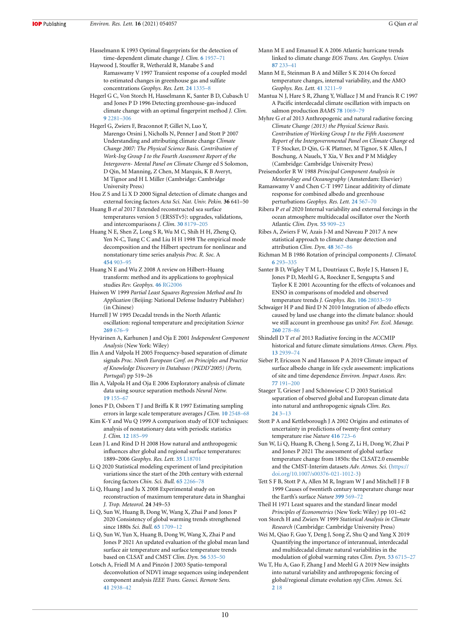- <span id="page-10-2"></span>Hasselmann K 1993 Optimal fingerprints for the detection of time-dependent climate change *J. Clim.* **[6](https://doi.org/10.1175/1520-0442(1993)006<1957:OFFTDO>2.0.CO;2)** [1957–71](https://doi.org/10.1175/1520-0442(1993)006<1957:OFFTDO>2.0.CO;2)
- <span id="page-10-30"></span>Haywood J, Stouffer R, Wetherald R, Manabe S and Ramaswamy V 1997 Transient response of a coupled model to estimated changes in greenhouse gas and sulfate concentrations *Geophys. Res. Lett.* **[24](https://doi.org/10.1029/97GL01163)** [1335–8](https://doi.org/10.1029/97GL01163)
- <span id="page-10-3"></span>Hegerl G C, Von Storch H, Hasselmann K, Santer B D, Cubasch U and Jones P D 1996 Detecting greenhouse-gas-induced climate change with an optimal fingerprint method *J. Clim.* **[9](https://doi.org/10.1175/1520-0442(1996)009<2281:DGGICC>2.0.CO;2)** [2281–306](https://doi.org/10.1175/1520-0442(1996)009<2281:DGGICC>2.0.CO;2)
- <span id="page-10-1"></span>Hegerl G, Zwiers F, Braconnot P, Gillet N, Luo Y, Marengo Orsini J, Nicholls N, Penner J and Stott P 2007 Understanding and attributing climate change *Climate Change 2007: The Physical Science Basis. Contribution of Work-Ing Group I to the Fourth Assessment Report of the Intergovern- Mental Panel on Climate Change* ed S Solomon, D Qin, M Manning, Z Chen, M Marquis, K B Averyt, M Tignor and H L Miller (Cambridge: Cambridge University Press)
- <span id="page-10-38"></span>Hou Z S and Li X D 2000 Signal detection of climate changes and external forcing factors *Acta Sci. Nat. Univ. Pekin.* **36** 641–50
- <span id="page-10-27"></span>Huang B *et al* 2017 Extended reconstructed sea surface temperatures version 5 (ERSSTv5): upgrades, validations, and intercomparisons *J. Clim.* **[30](https://doi.org/10.1175/JCLI-D-16-0836.1)** [8179–205](https://doi.org/10.1175/JCLI-D-16-0836.1)
- <span id="page-10-35"></span>Huang N E, Shen Z, Long S R, Wu M C, Shih H H, Zheng Q, Yen N-C, Tung C C and Liu H H 1998 The empirical mode decomposition and the Hilbert spectrum for nonlinear and nonstationary time series analysis *Proc. R. Soc.* A **[454](https://doi.org/10.1098/rspa.1998.0193)** [903–95](https://doi.org/10.1098/rspa.1998.0193)
- <span id="page-10-34"></span>Huang N E and Wu Z 2008 A review on Hilbert–Huang transform: method and its applications to geophysical studies *Rev. Geophys.* **[46](https://doi.org/10.1029/2007RG000228)** [RG2006](https://doi.org/10.1029/2007RG000228)
- <span id="page-10-36"></span>Huiwen W 1999 *Partial Least Squares Regression Method and Its Application* (Beijing: National Defense Industry Publisher) (in Chinese)
- <span id="page-10-21"></span>Hurrell J W 1995 Decadal trends in the North Atlantic oscillation: regional temperature and precipitation *Science* **[269](https://doi.org/10.1126/science.269.5224.676)** [676–9](https://doi.org/10.1126/science.269.5224.676)
- <span id="page-10-17"></span>Hyvärinen A, Karhunen J and Oja E 2001 *Independent Component Analysis* (New York: Wiley)
- <span id="page-10-14"></span>Ilin A and Valpola H 2005 Frequency-based separation of climate signals *Proc. Ninth European Conf. on Principles and Practice of Knowledge Discovery in Databases (PKDD'2005)* (*Porto, Portugal*) pp 519–26
- <span id="page-10-19"></span>Ilin A, Valpola H and Oja E 2006 Exploratory analysis of climate data using source separation methods *Neural Netw.* **[19](https://doi.org/10.1016/j.neunet.2006.01.011)** [155–67](https://doi.org/10.1016/j.neunet.2006.01.011)
- <span id="page-10-26"></span>Jones P D, Osborn T J and Briffa K R 1997 Estimating sampling errors in large scale temperature averages *J Clim.* **[10](https://doi.org/10.1175/1520-0442(1997)010<2548:ESEILS>2.0.CO;2)** [2548–68](https://doi.org/10.1175/1520-0442(1997)010<2548:ESEILS>2.0.CO;2)
- <span id="page-10-15"></span>Kim K-Y and Wu Q 1999 A comparison study of EOF techniques: analysis of nonstationary data with periodic statistics *J. Clim.* **[12](https://doi.org/10.1175/1520-0442-12.1.185)** [185–99](https://doi.org/10.1175/1520-0442-12.1.185)
- <span id="page-10-7"></span>Lean J L and Rind D H 2008 How natural and anthropogenic influences alter global and regional surface temperatures: 1889–2006 *Geophys. Res. Lett.* **[35](https://doi.org/10.1029/2008GL034864)** [L18701](https://doi.org/10.1029/2008GL034864)
- <span id="page-10-33"></span>Li Q 2020 Statistical modeling experiment of land precipitation variations since the start of the 20th century with external forcing factors *Chin. Sci. Bull.* **[65](https://doi.org/10.1360/TB-2020-0305)** [2266–78](https://doi.org/10.1360/TB-2020-0305)
- <span id="page-10-37"></span>Li Q, Huang J and Ju X 2008 Experimental study on reconstruction of maximum temperature data in Shanghai *J. Trop. Meteorol.* **24** 349–53
- <span id="page-10-13"></span>Li Q, Sun W, Huang B, Dong W, Wang X, Zhai P and Jones P 2020 Consistency of global warming trends strengthened since 1880s *Sci. Bull.* **[65](https://doi.org/10.1016/j.scib.2020.06.009)** [1709–12](https://doi.org/10.1016/j.scib.2020.06.009)
- <span id="page-10-25"></span>Li Q, Sun W, Yun X, Huang B, Dong W, Wang X, Zhai P and Jones P 2021 An updated evaluation of the global mean land surface air temperature and surface temperature trends based on CLSAT and CMST *Clim. Dyn.* **[56](https://doi.org/10.1007/s00382-020-05502-0)** [535–50](https://doi.org/10.1007/s00382-020-05502-0)
- <span id="page-10-18"></span>Lotsch A, Friedl M A and Pinzón J 2003 Spatio-temporal deconvolution of NDVI image sequences using independent component analysis *IEEE Trans. Geosci. Remote Sens.* **[41](https://doi.org/10.1109/TGRS.2003.819868)** [2938–42](https://doi.org/10.1109/TGRS.2003.819868)
- <span id="page-10-9"></span>Mann M E and Emanuel K A 2006 Atlantic hurricane trends linked to climate change *EOS Trans. Am. Geophys. Union* **[87](https://doi.org/10.1029/2006EO240001)** [233–41](https://doi.org/10.1029/2006EO240001)
- <span id="page-10-10"></span>Mann M E, Steinman B A and Miller S K 2014 On forced temperature changes, internal variability, and the AMO *Geophys. Res. Lett.* **[41](https://doi.org/10.1002/2014GL059233)** [3211–9](https://doi.org/10.1002/2014GL059233)

<span id="page-10-22"></span>Mantua N J, Hare S R, Zhang Y, Wallace J M and Francis R C 1997 A Pacific interdecadal climate oscillation with impacts on salmon production *BAMS* **[78](https://doi.org/10.1175/1520-0477(1997)078<1069:APICOW>2.0.CO;2)** [1069–79](https://doi.org/10.1175/1520-0477(1997)078<1069:APICOW>2.0.CO;2)

- <span id="page-10-28"></span>Myhre G *et al* 2013 Anthropogenic and natural radiative forcing *Climate Change (2013) the Physical Science Basis. Contribution of Working Group I to the Fifth Assessment Report of the Intergovernmental Panel on Climate Change* ed T F Stocker, D Qin, G-K Plattner, M Tignor, S K Allen, J Boschung, A Nauels, Y Xia, V Bex and P M Midgley (Cambridge: Cambridge University Press)
- <span id="page-10-11"></span>Preisendorfer R W 1988 *Principal Component Analysis in Meteorology and Oceanography* (Amsterdam: Elsevier)
- <span id="page-10-31"></span>Ramaswamy V and Chen C-T 1997 Linear additivity of climate response for combined albedo and greenhouse perturbations *Geophys. Res. Lett.* **[24](https://doi.org/10.1029/97GL00248)** [567–70](https://doi.org/10.1029/97GL00248)
- <span id="page-10-20"></span>Ribera P *et al* 2020 Internal variability and external forcings in the ocean atmosphere multidecadal oscillator over the North Atlantic *Clim. Dyn.* **[55](https://doi.org/10.1007/s00382-020-05300-8)** [909–23](https://doi.org/10.1007/s00382-020-05300-8)
- <span id="page-10-8"></span>Ribes A, Zwiers F W, Azais J-M and Naveau P 2017 A new statistical approach to climate change detection and attribution *Clim. Dyn.* **[48](https://doi.org/10.1007/s00382-016-3079-6)** [367–86](https://doi.org/10.1007/s00382-016-3079-6)
- <span id="page-10-16"></span>Richman M B 1986 Rotation of principal components *J. Climatol.* **[6](https://doi.org/10.1002/joc.3370060305)** [293–335](https://doi.org/10.1002/joc.3370060305)
- <span id="page-10-0"></span>Santer B D, Wigley T M L, Doutriaux C, Boyle J S, Hansen J E, Jones P D, Meehl G A, Roeckner E, Sengupta S and Taylor K E 2001 Accounting for the effects of volcanoes and ENSO in comparisons of modeled and observed temperature trends *J. Geophys. Res.* **[106](https://doi.org/10.1029/2000JD000189)** [28033–59](https://doi.org/10.1029/2000JD000189)
- <span id="page-10-39"></span>Schwaiger H P and Bird D N 2010 Integration of albedo effects caused by land use change into the climate balance: should we still account in greenhouse gas units? *For. Ecol. Manage.* **[260](https://doi.org/10.1016/j.foreco.2009.12.002)** [278–86](https://doi.org/10.1016/j.foreco.2009.12.002)
- <span id="page-10-29"></span>Shindell D T *et al* 2013 Radiative forcing in the ACCMIP historical and future climate simulations *Atmos. Chem. Phys.* **[13](https://doi.org/10.5194/acp-13-2939-2013)** [2939–74](https://doi.org/10.5194/acp-13-2939-2013)
- <span id="page-10-40"></span>Sieber P, Ericsson N and Hansson P A 2019 Climate impact of surface albedo change in life cycle assessment: implications of site and time dependence *Environ. Impact Assess. Rev.* **[77](https://doi.org/10.1016/j.eiar.2019.04.003)** [191–200](https://doi.org/10.1016/j.eiar.2019.04.003)
- <span id="page-10-6"></span>Staeger T, Grieser J and Schönwiese C D 2003 Statistical separation of observed global and European climate data into natural and anthropogenic signals *Clim. Res.* **[24](https://doi.org/10.3354/cr024003)** [3–13](https://doi.org/10.3354/cr024003)
- <span id="page-10-5"></span>Stott P A and Kettleborough J A 2002 Origins and estimates of uncertainty in predictions of twenty-first century temperature rise *Nature* **[416](https://doi.org/10.1038/416723a)** [723–6](https://doi.org/10.1038/416723a)
- <span id="page-10-41"></span>Sun W, Li Q, Huang B, Cheng J, Song Z, Li H, Dong W, Zhai P and Jones P 2021 The assessment of global surface temperature change from 1850s: the CLSAT2.0 ensemble and the CMST-Interim datasets *Adv. Atmos. Sci.* [\(https://](https://doi.org/10.1007/s00376-021-1012-3) [doi.org/10.1007/s00376-021-1012-3\)](https://doi.org/10.1007/s00376-021-1012-3)
- <span id="page-10-4"></span>Tett S F B, Stott P A, Allen M R, Ingram W J and Mitchell J F B 1999 Causes of twentieth century temperature change near the Earth's surface *Nature* **[399](https://doi.org/10.1038/21164)** [569–72](https://doi.org/10.1038/21164)
- <span id="page-10-32"></span>Theil H 1971 Least squares and the standard linear model *Principles of Econometrics* (New York: Wiley) pp 101–62 von Storch H and Zwiers W 1999 *Statistical Analysis in Climate*
- <span id="page-10-24"></span><span id="page-10-12"></span>*Research* (Cambridge: Cambridge University Press) Wei M, Qiao F, Guo Y, Deng J, Song Z, Shu Q and Yang X 2019 Quantifying the importance of interannual, interdecadal and multidecadal climate natural variabilities in the
- modulation of global warming rates *Clim. Dyn.* **[53](https://doi.org/10.1007/s00382-019-04955-2)** [6715–27](https://doi.org/10.1007/s00382-019-04955-2) Wu T, Hu A, Gao F, Zhang J and Meehl G A 2019 New insights
- <span id="page-10-23"></span>into natural variability and anthropogenic forcing of global/regional climate evolution *npj Clim. Atmos. Sci.* **[2](https://doi.org/10.1038/s41612-019-0075-7)** [18](https://doi.org/10.1038/s41612-019-0075-7)